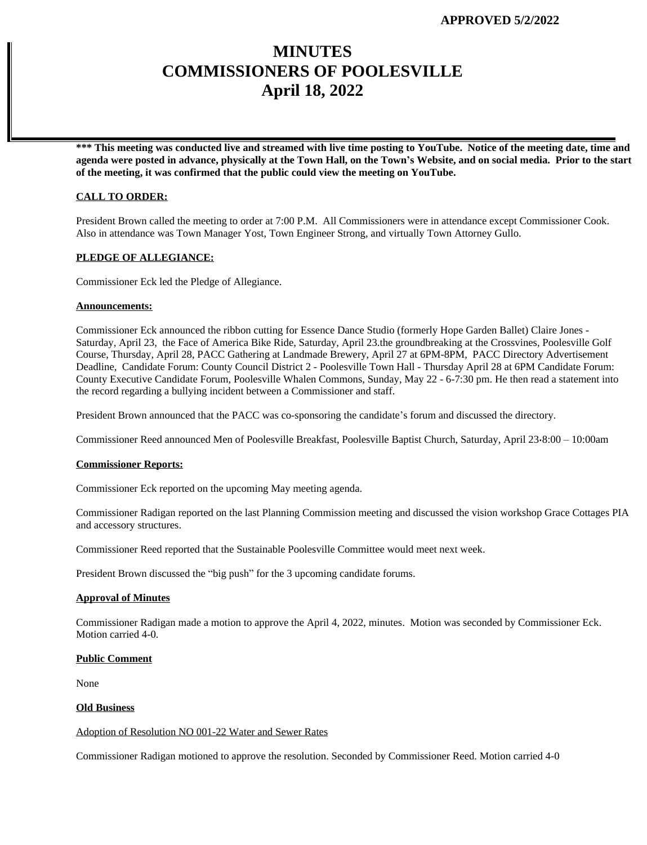# **MINUTES COMMISSIONERS OF POOLESVILLE April 18, 2022**

**\*\*\* This meeting was conducted live and streamed with live time posting to YouTube. Notice of the meeting date, time and agenda were posted in advance, physically at the Town Hall, on the Town's Website, and on social media. Prior to the start of the meeting, it was confirmed that the public could view the meeting on YouTube.**

# **CALL TO ORDER:**

President Brown called the meeting to order at 7:00 P.M. All Commissioners were in attendance except Commissioner Cook. Also in attendance was Town Manager Yost, Town Engineer Strong, and virtually Town Attorney Gullo.

# **PLEDGE OF ALLEGIANCE:**

Commissioner Eck led the Pledge of Allegiance.

### **Announcements:**

Commissioner Eck announced the ribbon cutting for Essence Dance Studio (formerly Hope Garden Ballet) Claire Jones - Saturday, April 23, the Face of America Bike Ride, Saturday, April 23.the groundbreaking at the Crossvines, Poolesville Golf Course, Thursday, April 28, PACC Gathering at Landmade Brewery, April 27 at 6PM-8PM, PACC Directory Advertisement Deadline, Candidate Forum: County Council District 2 - Poolesville Town Hall - Thursday April 28 at 6PM Candidate Forum: County Executive Candidate Forum, Poolesville Whalen Commons, Sunday, May 22 - 6-7:30 pm. He then read a statement into the record regarding a bullying incident between a Commissioner and staff.

President Brown announced that the PACC was co-sponsoring the candidate's forum and discussed the directory.

Commissioner Reed announced Men of Poolesville Breakfast, Poolesville Baptist Church, Saturday, April 23⋅8:00 – 10:00am

## **Commissioner Reports:**

Commissioner Eck reported on the upcoming May meeting agenda.

Commissioner Radigan reported on the last Planning Commission meeting and discussed the vision workshop Grace Cottages PIA and accessory structures.

Commissioner Reed reported that the Sustainable Poolesville Committee would meet next week.

President Brown discussed the "big push" for the 3 upcoming candidate forums.

#### **Approval of Minutes**

Commissioner Radigan made a motion to approve the April 4, 2022, minutes. Motion was seconded by Commissioner Eck. Motion carried 4-0.

#### **Public Comment**

None

# **Old Business**

### Adoption of Resolution NO 001-22 Water and Sewer Rates

Commissioner Radigan motioned to approve the resolution. Seconded by Commissioner Reed. Motion carried 4-0